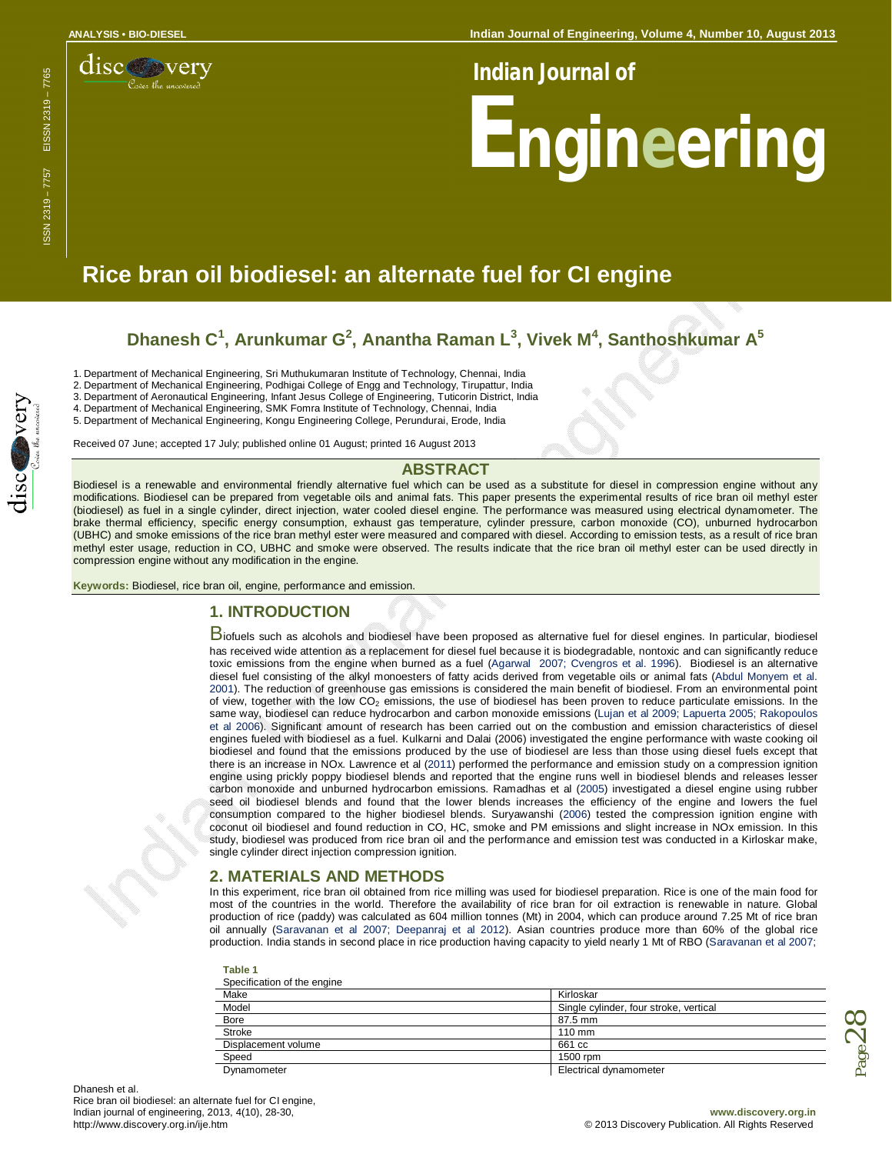**Indian Journal of Engineering, Volume 4, Number 10, August 2013** 



### *Indian Journal of*

# **Engineering**

# **Rice bran oil biodiesel: an alternate fuel for CI engine**

## **Dhanesh C 1 , Arunkumar G 2 , Anantha Raman L 3 , Vivek M 4 , Santhoshkumar A 5**

1. Department of Mechanical Engineering, Sri Muthukumaran Institute of Technology, Chennai, India

2. Department of Mechanical Engineering, Podhigai College of Engg and Technology, Tirupattur, India

3. Department of Aeronautical Engineering, Infant Jesus College of Engineering, Tuticorin District, India 4. Department of Mechanical Engineering, SMK Fomra Institute of Technology, Chennai, India

5. Department of Mechanical Engineering, Kongu Engineering College, Perundurai, Erode, India

Received 07 June; accepted 17 July; published online 01 August; printed 16 August 2013

#### **ABSTRACT**

Biodiesel is a renewable and environmental friendly alternative fuel which can be used as a substitute for diesel in compression engine without any modifications. Biodiesel can be prepared from vegetable oils and animal fats. This paper presents the experimental results of rice bran oil methyl ester (biodiesel) as fuel in a single cylinder, direct injection, water cooled diesel engine. The performance was measured using electrical dynamometer. The brake thermal efficiency, specific energy consumption, exhaust gas temperature, cylinder pressure, carbon monoxide (CO), unburned hydrocarbon (UBHC) and smoke emissions of the rice bran methyl ester were measured and compared with diesel. According to emission tests, as a result of rice bran methyl ester usage, reduction in CO, UBHC and smoke were observed. The results indicate that the rice bran oil methyl ester can be used directly in compression engine without any modification in the engine.

**Keywords:** Biodiesel, rice bran oil, engine, performance and emission.

#### **1. INTRODUCTION**

Biofuels such as alcohols and biodiesel have been proposed as alternative fuel for diesel engines. In particular, biodiesel has received wide attention as a replacement for diesel fuel because it is biodegradable, nontoxic and can significantly reduce toxic emissions from the engine when burned as a fuel (Agarwal 2007; Cvengros et al. 1996). Biodiesel is an alternative diesel fuel consisting of the alkyl monoesters of fatty acids derived from vegetable oils or animal fats (Abdul Monyem et al. 2001). The reduction of greenhouse gas emissions is considered the main benefit of biodiesel. From an environmental point of view, together with the low CO<sup>2</sup> emissions, the use of biodiesel has been proven to reduce particulate emissions. In the same way, biodiesel can reduce hydrocarbon and carbon monoxide emissions (Lujan et al 2009; Lapuerta 2005; Rakopoulos et al 2006). Significant amount of research has been carried out on the combustion and emission characteristics of diesel engines fueled with biodiesel as a fuel. Kulkarni and Dalai (2006) investigated the engine performance with waste cooking oil biodiesel and found that the emissions produced by the use of biodiesel are less than those using diesel fuels except that there is an increase in NOx. Lawrence et al (2011) performed the performance and emission study on a compression ignition engine using prickly poppy biodiesel blends and reported that the engine runs well in biodiesel blends and releases lesser carbon monoxide and unburned hydrocarbon emissions. Ramadhas et al (2005) investigated a diesel engine using rubber seed oil biodiesel blends and found that the lower blends increases the efficiency of the engine and lowers the fuel consumption compared to the higher biodiesel blends. Suryawanshi (2006) tested the compression ignition engine with coconut oil biodiesel and found reduction in CO, HC, smoke and PM emissions and slight increase in NOx emission. In this study, biodiesel was produced from rice bran oil and the performance and emission test was conducted in a Kirloskar make, single cylinder direct injection compression ignition.

#### **2. MATERIALS AND METHODS**

In this experiment, rice bran oil obtained from rice milling was used for biodiesel preparation. Rice is one of the main food for most of the countries in the world. Therefore the availability of rice bran for oil extraction is renewable in nature. Global production of rice (paddy) was calculated as 604 million tonnes (Mt) in 2004, which can produce around 7.25 Mt of rice bran oil annually (Saravanan et al 2007; Deepanraj et al 2012). Asian countries produce more than 60% of the global rice production. India stands in second place in rice production having capacity to yield nearly 1 Mt of RBO (Saravanan et al 2007;

| Table 1 |                                           |  |
|---------|-------------------------------------------|--|
|         | $\sim$ $\sim$ $\sim$ $\sim$ $\sim$ $\sim$ |  |

| Specification of the engine |                                        |  |  |
|-----------------------------|----------------------------------------|--|--|
| Make                        | Kirloskar                              |  |  |
| Model                       | Single cylinder, four stroke, vertical |  |  |
| <b>Bore</b>                 | 87.5 mm                                |  |  |
| Stroke                      | $110 \text{ mm}$                       |  |  |
| Displacement volume         | 661 cc                                 |  |  |
| Speed                       | 1500 rpm                               |  |  |
| Dynamometer                 | Electrical dynamometer                 |  |  |



 $_{\rm Page}$ 28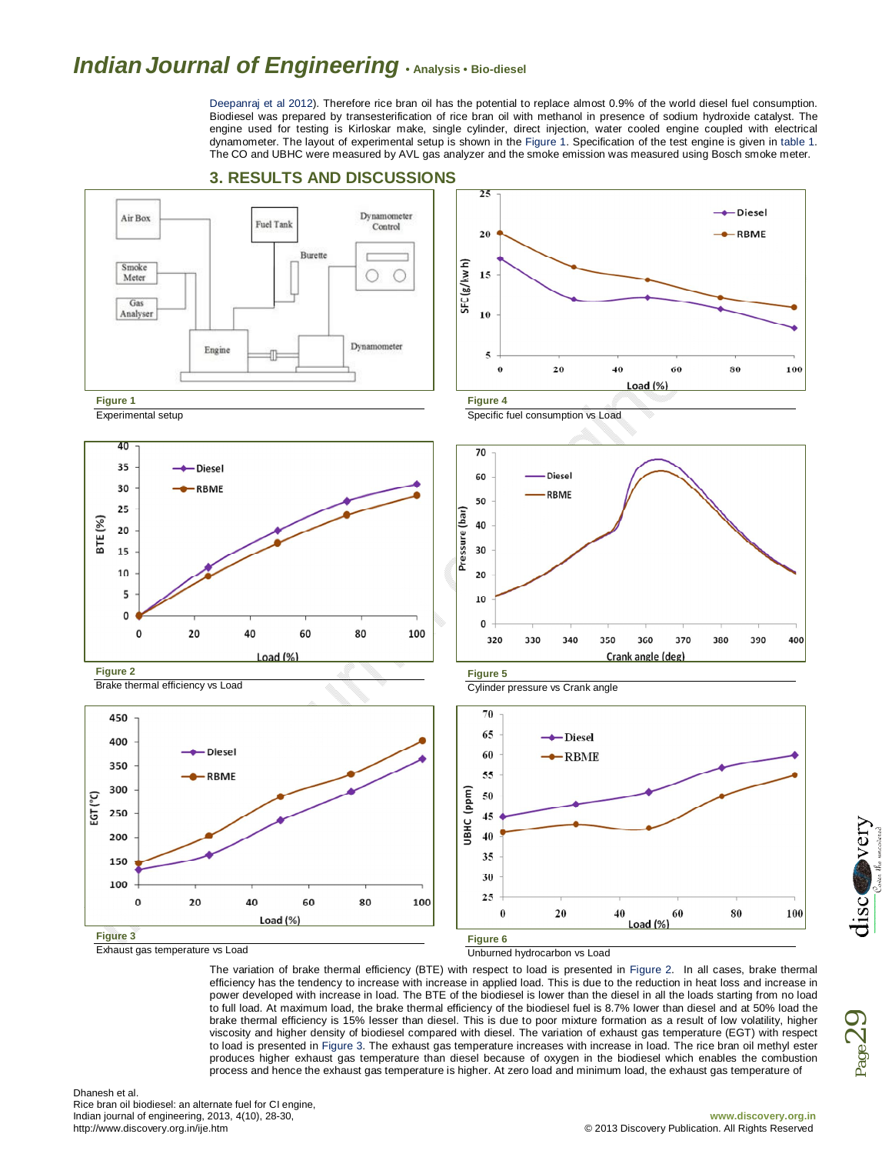## *IndianJournal of Engineering* **• Analysis • Bio-diesel**

Deepanraj et al 2012). Therefore rice bran oil has the potential to replace almost 0.9% of the world diesel fuel consumption. Biodiesel was prepared by transesterification of rice bran oil with methanol in presence of sodium hydroxide catalyst. The engine used for testing is Kirloskar make, single cylinder, direct injection, water cooled engine coupled with electrical dynamometer. The layout of experimental setup is shown in the Figure 1. Specification of the test engine is given in table 1. The CO and UBHC were measured by AVL gas analyzer and the smoke emission was measured using Bosch smoke meter.



#### **3. RESULTS AND DISCUSSIONS**

**Figure 3**

Exhaust gas temperature vs Load

**Figure 6** Unburned hydrocarbon vs Load

The variation of brake thermal efficiency (BTE) with respect to load is presented in Figure 2. In all cases, brake thermal efficiency has the tendency to increase with increase in applied load. This is due to the reduction in heat loss and increase in power developed with increase in load. The BTE of the biodiesel is lower than the diesel in all the loads starting from no load to full load. At maximum load, the brake thermal efficiency of the biodiesel fuel is 8.7% lower than diesel and at 50% load the brake thermal efficiency is 15% lesser than diesel. This is due to poor mixture formation as a result of low volatility, higher viscosity and higher density of biodiesel compared with diesel. The variation of exhaust gas temperature (EGT) with respect to load is presented in Figure 3. The exhaust gas temperature increases with increase in load. The rice bran oil methyl ester produces higher exhaust gas temperature than diesel because of oxygen in the biodiesel which enables the combustion process and hence the exhaust gas temperature is higher. At zero load and minimum load, the exhaust gas temperature of



Page29